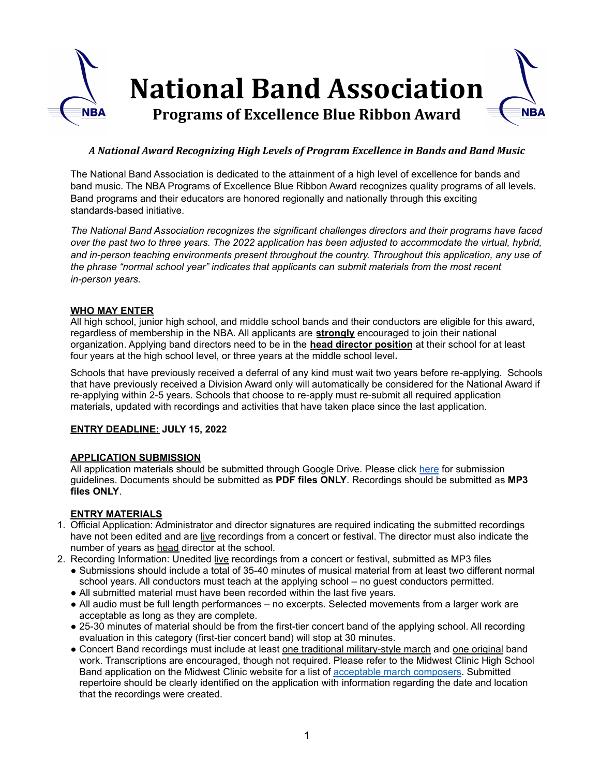

# *A National Award Recognizing High Levels of Program Excellence in Bands and Band Music*

The National Band Association is dedicated to the attainment of a high level of excellence for bands and band music. The NBA Programs of Excellence Blue Ribbon Award recognizes quality programs of all levels. Band programs and their educators are honored regionally and nationally through this exciting standards-based initiative.

*The National Band Association recognizes the significant challenges directors and their programs have faced* over the past two to three years. The 2022 application has been adjusted to accommodate the virtual, hybrid, *and in-person teaching environments present throughout the country. Throughout this application, any use of the phrase "normal school year" indicates that applicants can submit materials from the most recent in-person years.*

## **WHO MAY ENTER**

All high school, junior high school, and middle school bands and their conductors are eligible for this award, regardless of membership in the NBA. All applicants are **strongly** encouraged to join their national organization. Applying band directors need to be in the **head director position** at their school for at least four years at the high school level, or three years at the middle school level**.**

Schools that have previously received a deferral of any kind must wait two years before re-applying. Schools that have previously received a Division Award only will automatically be considered for the National Award if re-applying within 2-5 years. Schools that choose to re-apply must re-submit all required application materials, updated with recordings and activities that have taken place since the last application.

#### **ENTRY DEADLINE: JULY 15, 2022**

## **APPLICATION SUBMISSION**

All application materials should be submitted through Google Drive. Please click [here](https://nationalbandassociation.org/wp-content/uploads/2022/04/NBA-POE-Submission-Guidelines-2022.pdf) for submission guidelines. Documents should be submitted as **PDF files ONLY**. Recordings should be submitted as **MP3 files ONLY**.

## **ENTRY MATERIALS**

- 1. Official Application: Administrator and director signatures are required indicating the submitted recordings have not been edited and are live recordings from a concert or festival. The director must also indicate the number of years as head director at the school.
- 2. Recording Information: Unedited live recordings from a concert or festival, submitted as MP3 files
	- Submissions should include a total of 35-40 minutes of musical material from at least two different normal school years. All conductors must teach at the applying school – no guest conductors permitted.
	- All submitted material must have been recorded within the last five years.
	- All audio must be full length performances no excerpts. Selected movements from a larger work are acceptable as long as they are complete.
	- 25-30 minutes of material should be from the first-tier concert band of the applying school. All recording evaluation in this category (first-tier concert band) will stop at 30 minutes.
	- Concert Band recordings must include at least one traditional military-style march and one original band work. Transcriptions are encouraged, though not required. Please refer to the Midwest Clinic High School Band application on the Midwest Clinic website for a list of acceptable march [composers](https://www.midwestclinic.org/user_files_1/pdfs/performers/Performance%20Application/MWCApprovedMarchComposersList.pdf). Submitted repertoire should be clearly identified on the application with information regarding the date and location that the recordings were created.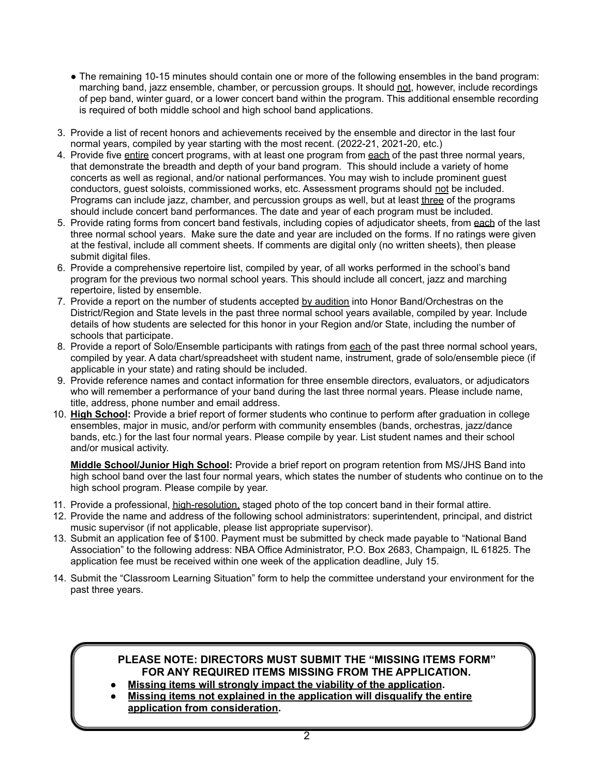- The remaining 10-15 minutes should contain one or more of the following ensembles in the band program: marching band, jazz ensemble, chamber, or percussion groups. It should not, however, include recordings of pep band, winter guard, or a lower concert band within the program. This additional ensemble recording is required of both middle school and high school band applications.
- 3. Provide a list of recent honors and achievements received by the ensemble and director in the last four normal years, compiled by year starting with the most recent. (2022-21, 2021-20, etc.)
- 4. Provide five entire concert programs, with at least one program from each of the past three normal years, that demonstrate the breadth and depth of your band program. This should include a variety of home concerts as well as regional, and/or national performances. You may wish to include prominent guest conductors, guest soloists, commissioned works, etc. Assessment programs should not be included. Programs can include jazz, chamber, and percussion groups as well, but at least three of the programs should include concert band performances. The date and year of each program must be included.
- 5. Provide rating forms from concert band festivals, including copies of adjudicator sheets, from each of the last three normal school years. Make sure the date and year are included on the forms. If no ratings were given at the festival, include all comment sheets. If comments are digital only (no written sheets), then please submit digital files.
- 6. Provide a comprehensive repertoire list, compiled by year, of all works performed in the school's band program for the previous two normal school years. This should include all concert, jazz and marching repertoire, listed by ensemble.
- 7. Provide a report on the number of students accepted by audition into Honor Band/Orchestras on the District/Region and State levels in the past three normal school years available, compiled by year. Include details of how students are selected for this honor in your Region and/or State, including the number of schools that participate.
- 8. Provide a report of Solo/Ensemble participants with ratings from each of the past three normal school years, compiled by year. A data chart/spreadsheet with student name, instrument, grade of solo/ensemble piece (if applicable in your state) and rating should be included.
- 9. Provide reference names and contact information for three ensemble directors, evaluators, or adjudicators who will remember a performance of your band during the last three normal years. Please include name, title, address, phone number and email address.
- 10. **High School:** Provide a brief report of former students who continue to perform after graduation in college ensembles, major in music, and/or perform with community ensembles (bands, orchestras, jazz/dance bands, etc.) for the last four normal years. Please compile by year. List student names and their school and/or musical activity.

**Middle School/Junior High School:** Provide a brief report on program retention from MS/JHS Band into high school band over the last four normal years, which states the number of students who continue on to the high school program. Please compile by year.

- 11. Provide a professional, high-resolution, staged photo of the top concert band in their formal attire.
- 12. Provide the name and address of the following school administrators: superintendent, principal, and district music supervisor (if not applicable, please list appropriate supervisor).
- 13. Submit an application fee of \$100. Payment must be submitted by check made payable to "National Band Association" to the following address: NBA Office Administrator, P.O. Box 2683, Champaign, IL 61825. The application fee must be received within one week of the application deadline, July 15.
- 14. Submit the "Classroom Learning Situation" form to help the committee understand your environment for the past three years.

# **PLEASE NOTE: DIRECTORS MUST SUBMIT THE "MISSING ITEMS FORM" FOR ANY REQUIRED ITEMS MISSING FROM THE APPLICATION.**

- **Missing items will strongly impact the viability of the application.**
- **Missing items not explained in the application will disqualify the entire application from consideration.**